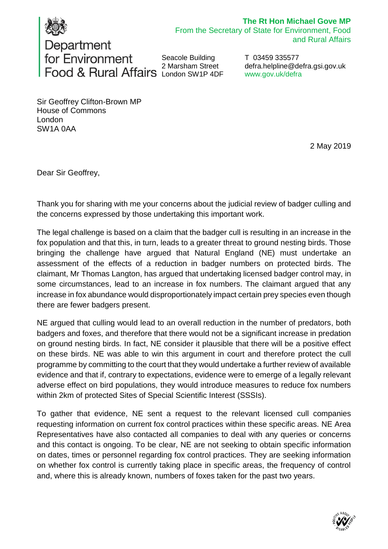

## **The Rt Hon Michael Gove MP** From the Secretary of State for Environment, Food

Department for Environment Seacole Building 2 Marsham Street London SW1P 4DF

T 03459 335577 [defra.helpline@defra.gsi.gov.uk](mailto:defra.helpline@defra.gsi.gov.uk) www.gov.uk/defra

Sir Geoffrey Clifton-Brown MP House of Commons London SW1A 0AA

2 May 2019

and Rural Affairs

Dear Sir Geoffrey,

Thank you for sharing with me your concerns about the judicial review of badger culling and the concerns expressed by those undertaking this important work.

The legal challenge is based on a claim that the badger cull is resulting in an increase in the fox population and that this, in turn, leads to a greater threat to ground nesting birds. Those bringing the challenge have argued that Natural England (NE) must undertake an assessment of the effects of a reduction in badger numbers on protected birds. The claimant, Mr Thomas Langton, has argued that undertaking licensed badger control may, in some circumstances, lead to an increase in fox numbers. The claimant argued that any increase in fox abundance would disproportionately impact certain prey species even though there are fewer badgers present.

NE argued that culling would lead to an overall reduction in the number of predators, both badgers and foxes, and therefore that there would not be a significant increase in predation on ground nesting birds. In fact, NE consider it plausible that there will be a positive effect on these birds. NE was able to win this argument in court and therefore protect the cull programme by committing to the court that they would undertake a further review of available evidence and that if, contrary to expectations, evidence were to emerge of a legally relevant adverse effect on bird populations, they would introduce measures to reduce fox numbers within 2km of protected Sites of Special Scientific Interest (SSSIs).

To gather that evidence, NE sent a request to the relevant licensed cull companies requesting information on current fox control practices within these specific areas. NE Area Representatives have also contacted all companies to deal with any queries or concerns and this contact is ongoing. To be clear, NE are not seeking to obtain specific information on dates, times or personnel regarding fox control practices. They are seeking information on whether fox control is currently taking place in specific areas, the frequency of control and, where this is already known, numbers of foxes taken for the past two years.